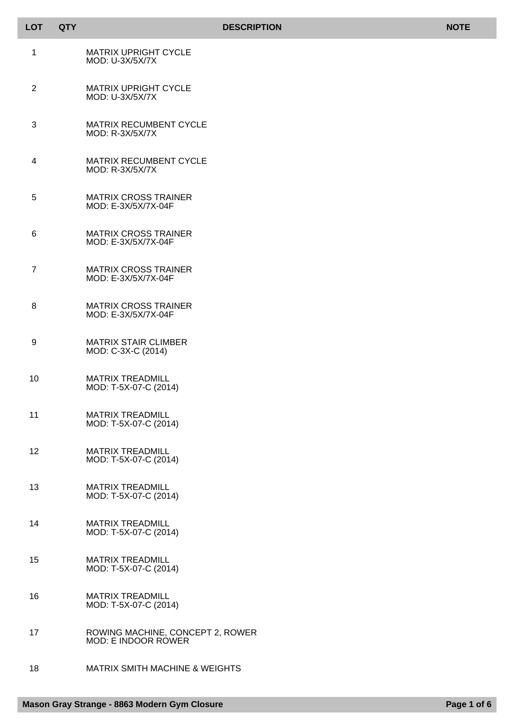| <b>LOT</b>     | <b>QTY</b> |                                                         | <b>DESCRIPTION</b> | <b>NOTE</b> |
|----------------|------------|---------------------------------------------------------|--------------------|-------------|
| 1              |            | <b>MATRIX UPRIGHT CYCLE</b><br>MOD: U-3X/5X/7X          |                    |             |
| $\overline{2}$ |            | <b>MATRIX UPRIGHT CYCLE</b><br>MOD: U-3X/5X/7X          |                    |             |
| 3              |            | MATRIX RECUMBENT CYCLE<br>MOD: R-3X/5X/7X               |                    |             |
| 4              |            | MATRIX RECUMBENT CYCLE<br>MOD: R-3X/5X/7X               |                    |             |
| 5              |            | <b>MATRIX CROSS TRAINER</b><br>MOD: E-3X/5X/7X-04F      |                    |             |
| 6              |            | <b>MATRIX CROSS TRAINER</b><br>MOD: E-3X/5X/7X-04F      |                    |             |
| $\overline{7}$ |            | <b>MATRIX CROSS TRAINER</b><br>MOD: E-3X/5X/7X-04F      |                    |             |
| 8              |            | <b>MATRIX CROSS TRAINER</b><br>MOD: E-3X/5X/7X-04F      |                    |             |
| 9              |            | <b>MATRIX STAIR CLIMBER</b><br>MOD: C-3X-C (2014)       |                    |             |
| 10             |            | <b>MATRIX TREADMILL</b><br>MOD: T-5X-07-C (2014)        |                    |             |
| 11             |            | <b>MATRIX TREADMILL</b><br>MOD: T-5X-07-C (2014)        |                    |             |
| 12             |            | <b>MATRIX TREADMILL</b><br>MOD: T-5X-07-C (2014)        |                    |             |
| 13             |            | <b>MATRIX TREADMILL</b><br>MOD: T-5X-07-C (2014)        |                    |             |
| 14             |            | <b>MATRIX TREADMILL</b><br>MOD: T-5X-07-C (2014)        |                    |             |
| 15             |            | <b>MATRIX TREADMILL</b><br>MOD: T-5X-07-C (2014)        |                    |             |
| 16             |            | <b>MATRIX TREADMILL</b><br>MOD: T-5X-07-C (2014)        |                    |             |
| 17             |            | ROWING MACHINE, CONCEPT 2, ROWER<br>MOD: E INDOOR ROWER |                    |             |
| 18             |            | <b>MATRIX SMITH MACHINE &amp; WEIGHTS</b>               |                    |             |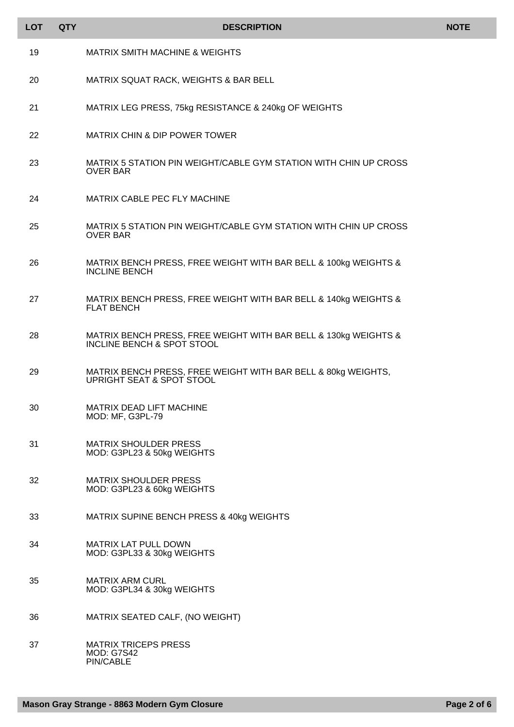| <b>LOT</b> | <b>QTY</b> | <b>DESCRIPTION</b>                                                                            | <b>NOTE</b> |
|------------|------------|-----------------------------------------------------------------------------------------------|-------------|
| 19         |            | <b>MATRIX SMITH MACHINE &amp; WEIGHTS</b>                                                     |             |
| 20         |            | MATRIX SQUAT RACK, WEIGHTS & BAR BELL                                                         |             |
| 21         |            | MATRIX LEG PRESS, 75kg RESISTANCE & 240kg OF WEIGHTS                                          |             |
| 22         |            | <b>MATRIX CHIN &amp; DIP POWER TOWER</b>                                                      |             |
| 23         |            | MATRIX 5 STATION PIN WEIGHT/CABLE GYM STATION WITH CHIN UP CROSS<br><b>OVER BAR</b>           |             |
| 24         |            | MATRIX CABLE PEC FLY MACHINE                                                                  |             |
| 25         |            | MATRIX 5 STATION PIN WEIGHT/CABLE GYM STATION WITH CHIN UP CROSS<br><b>OVER BAR</b>           |             |
| 26         |            | MATRIX BENCH PRESS, FREE WEIGHT WITH BAR BELL & 100kg WEIGHTS &<br><b>INCLINE BENCH</b>       |             |
| 27         |            | MATRIX BENCH PRESS, FREE WEIGHT WITH BAR BELL & 140kg WEIGHTS &<br><b>FLAT BENCH</b>          |             |
| 28         |            | MATRIX BENCH PRESS, FREE WEIGHT WITH BAR BELL & 130kg WEIGHTS &<br>INCLINE BENCH & SPOT STOOL |             |
| 29         |            | MATRIX BENCH PRESS, FREE WEIGHT WITH BAR BELL & 80kg WEIGHTS,<br>UPRIGHT SEAT & SPOT STOOL    |             |
| 30         |            | MATRIX DEAD LIFT MACHINE<br>MOD: MF, G3PL-79                                                  |             |
| 31         |            | <b>MATRIX SHOULDER PRESS</b><br>MOD: G3PL23 & 50kg WEIGHTS                                    |             |
| 32         |            | <b>MATRIX SHOULDER PRESS</b><br>MOD: G3PL23 & 60kg WEIGHTS                                    |             |
| 33         |            | MATRIX SUPINE BENCH PRESS & 40kg WEIGHTS                                                      |             |
| 34         |            | <b>MATRIX LAT PULL DOWN</b><br>MOD: G3PL33 & 30kg WEIGHTS                                     |             |
| 35         |            | <b>MATRIX ARM CURL</b><br>MOD: G3PL34 & 30kg WEIGHTS                                          |             |
| 36         |            | MATRIX SEATED CALF, (NO WEIGHT)                                                               |             |
| 37         |            | <b>MATRIX TRICEPS PRESS</b><br><b>MOD: G7S42</b><br>PIN/CABLE                                 |             |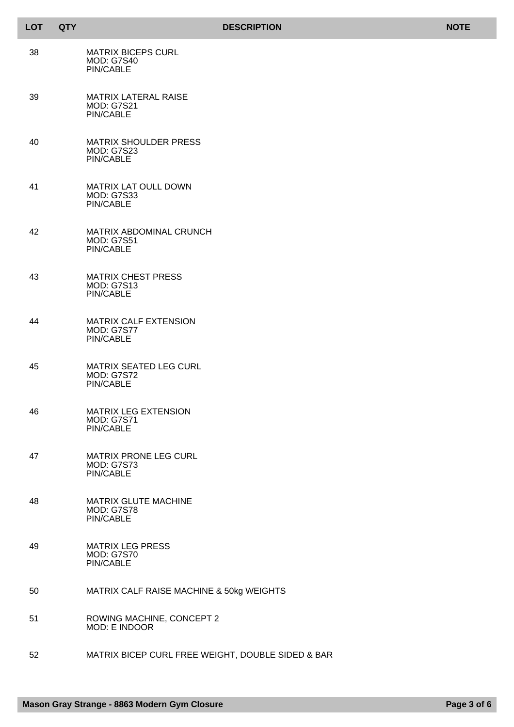| <b>LOT</b> | <b>QTY</b> | <b>NOTE</b><br><b>DESCRIPTION</b>                                     |  |
|------------|------------|-----------------------------------------------------------------------|--|
| 38         |            | <b>MATRIX BICEPS CURL</b><br><b>MOD: G7S40</b><br><b>PIN/CABLE</b>    |  |
| 39         |            | <b>MATRIX LATERAL RAISE</b><br><b>MOD: G7S21</b><br>PIN/CABLE         |  |
| 40         |            | <b>MATRIX SHOULDER PRESS</b><br><b>MOD: G7S23</b><br>PIN/CABLE        |  |
| 41         |            | MATRIX LAT OULL DOWN<br><b>MOD: G7S33</b><br><b>PIN/CABLE</b>         |  |
| 42         |            | MATRIX ABDOMINAL CRUNCH<br><b>MOD: G7S51</b><br>PIN/CABLE             |  |
| 43         |            | <b>MATRIX CHEST PRESS</b><br><b>MOD: G7S13</b><br>PIN/CABLE           |  |
| 44         |            | <b>MATRIX CALF EXTENSION</b><br><b>MOD: G7S77</b><br>PIN/CABLE        |  |
| 45         |            | MATRIX SEATED LEG CURL<br><b>MOD: G7S72</b><br>PIN/CABLE              |  |
| 46         |            | <b>MATRIX LEG EXTENSION</b><br><b>MOD: G7S71</b><br>PIN/CABLE         |  |
| 47         |            | <b>MATRIX PRONE LEG CURL</b><br><b>MOD: G7S73</b><br><b>PIN/CABLE</b> |  |
| 48         |            | MATRIX GLUTE MACHINE<br><b>MOD: G7S78</b><br>PIN/CABLE                |  |
| 49         |            | <b>MATRIX LEG PRESS</b><br><b>MOD: G7S70</b><br>PIN/CABLE             |  |
| 50         |            | MATRIX CALF RAISE MACHINE & 50kg WEIGHTS                              |  |
| 51         |            | ROWING MACHINE, CONCEPT 2<br>MOD: E INDOOR                            |  |
| 52         |            | MATRIX BICEP CURL FREE WEIGHT, DOUBLE SIDED & BAR                     |  |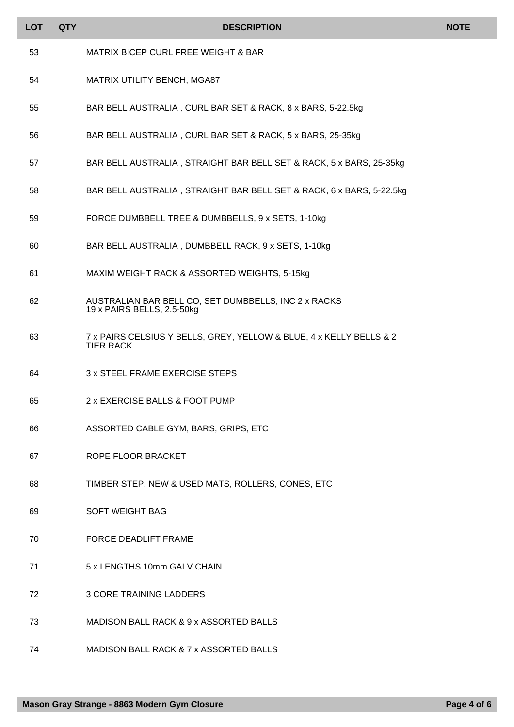| <b>LOT</b> | <b>QTY</b> | <b>DESCRIPTION</b>                                                                      | <b>NOTE</b> |
|------------|------------|-----------------------------------------------------------------------------------------|-------------|
| 53         |            | MATRIX BICEP CURL FREE WEIGHT & BAR                                                     |             |
| 54         |            | MATRIX UTILITY BENCH, MGA87                                                             |             |
| 55         |            | BAR BELL AUSTRALIA, CURL BAR SET & RACK, 8 x BARS, 5-22.5kg                             |             |
| 56         |            | BAR BELL AUSTRALIA, CURL BAR SET & RACK, 5 x BARS, 25-35kg                              |             |
| 57         |            | BAR BELL AUSTRALIA, STRAIGHT BAR BELL SET & RACK, 5 x BARS, 25-35kg                     |             |
| 58         |            | BAR BELL AUSTRALIA, STRAIGHT BAR BELL SET & RACK, 6 x BARS, 5-22.5kg                    |             |
| 59         |            | FORCE DUMBBELL TREE & DUMBBELLS, 9 x SETS, 1-10kg                                       |             |
| 60         |            | BAR BELL AUSTRALIA, DUMBBELL RACK, 9 x SETS, 1-10kg                                     |             |
| 61         |            | MAXIM WEIGHT RACK & ASSORTED WEIGHTS, 5-15kg                                            |             |
| 62         |            | AUSTRALIAN BAR BELL CO, SET DUMBBELLS, INC 2 x RACKS<br>19 x PAIRS BELLS, 2.5-50kg      |             |
| 63         |            | 7 x PAIRS CELSIUS Y BELLS, GREY, YELLOW & BLUE, 4 x KELLY BELLS & 2<br><b>TIER RACK</b> |             |
| 64         |            | 3 x STEEL FRAME EXERCISE STEPS                                                          |             |
| 65         |            | 2 x EXERCISE BALLS & FOOT PUMP                                                          |             |
| 66         |            | ASSORTED CABLE GYM, BARS, GRIPS, ETC                                                    |             |
| 67         |            | ROPE FLOOR BRACKET                                                                      |             |
| 68         |            | TIMBER STEP, NEW & USED MATS, ROLLERS, CONES, ETC                                       |             |
| 69         |            | <b>SOFT WEIGHT BAG</b>                                                                  |             |
| 70         |            | <b>FORCE DEADLIFT FRAME</b>                                                             |             |
| 71         |            | 5 x LENGTHS 10mm GALV CHAIN                                                             |             |
| 72         |            | <b>3 CORE TRAINING LADDERS</b>                                                          |             |
| 73         |            | MADISON BALL RACK & 9 x ASSORTED BALLS                                                  |             |
| 74         |            | MADISON BALL RACK & 7 x ASSORTED BALLS                                                  |             |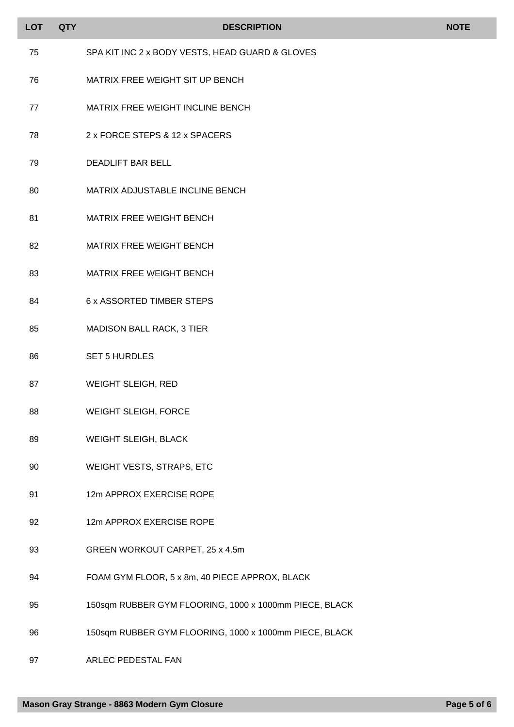| <b>LOT</b> | <b>QTY</b> | <b>DESCRIPTION</b>                                     | <b>NOTE</b> |
|------------|------------|--------------------------------------------------------|-------------|
| 75         |            |                                                        |             |
|            |            | SPA KIT INC 2 x BODY VESTS, HEAD GUARD & GLOVES        |             |
| 76         |            | MATRIX FREE WEIGHT SIT UP BENCH                        |             |
| 77         |            | MATRIX FREE WEIGHT INCLINE BENCH                       |             |
| 78         |            | 2 x FORCE STEPS & 12 x SPACERS                         |             |
| 79         |            | <b>DEADLIFT BAR BELL</b>                               |             |
| 80         |            | MATRIX ADJUSTABLE INCLINE BENCH                        |             |
| 81         |            | <b>MATRIX FREE WEIGHT BENCH</b>                        |             |
| 82         |            | MATRIX FREE WEIGHT BENCH                               |             |
| 83         |            | MATRIX FREE WEIGHT BENCH                               |             |
| 84         |            | <b>6 x ASSORTED TIMBER STEPS</b>                       |             |
| 85         |            | MADISON BALL RACK, 3 TIER                              |             |
| 86         |            | <b>SET 5 HURDLES</b>                                   |             |
| 87         |            | <b>WEIGHT SLEIGH, RED</b>                              |             |
| 88         |            | <b>WEIGHT SLEIGH, FORCE</b>                            |             |
| 89         |            | WEIGHT SLEIGH, BLACK                                   |             |
| 90         |            | WEIGHT VESTS, STRAPS, ETC                              |             |
| 91         |            | 12m APPROX EXERCISE ROPE                               |             |
| 92         |            | 12m APPROX EXERCISE ROPE                               |             |
| 93         |            | GREEN WORKOUT CARPET, 25 x 4.5m                        |             |
| 94         |            | FOAM GYM FLOOR, 5 x 8m, 40 PIECE APPROX, BLACK         |             |
| 95         |            | 150sqm RUBBER GYM FLOORING, 1000 x 1000mm PIECE, BLACK |             |
| 96         |            | 150sqm RUBBER GYM FLOORING, 1000 x 1000mm PIECE, BLACK |             |

ARLEC PEDESTAL FAN